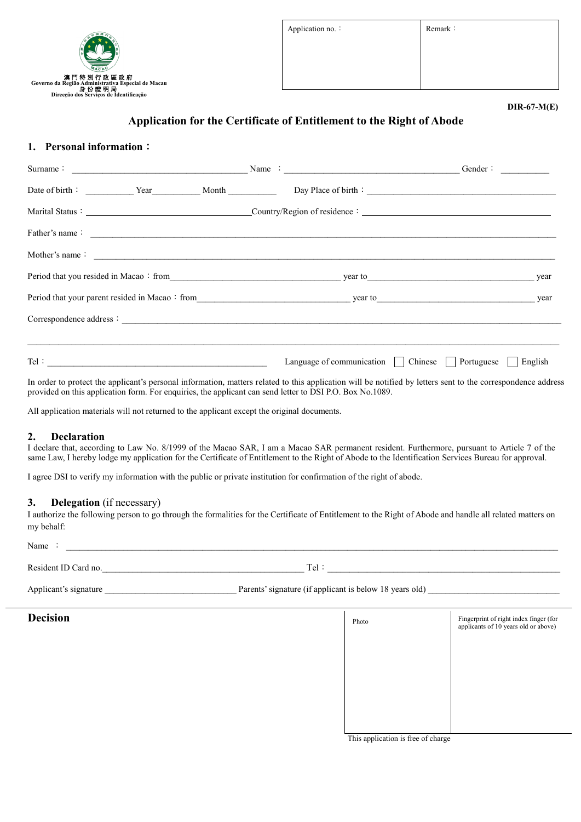

Application no.: Remark:

#### **DIR-67-M(E)**

# **Application for the Certificate of Entitlement to the Right of Abode**

## **1. Personal information**:

| Surname: $\frac{1}{\sqrt{1-\frac{1}{2}}\sqrt{1-\frac{1}{2}}\sqrt{1-\frac{1}{2}}\sqrt{1-\frac{1}{2}}\sqrt{1-\frac{1}{2}}\sqrt{1-\frac{1}{2}}\sqrt{1-\frac{1}{2}}\sqrt{1-\frac{1}{2}}\sqrt{1-\frac{1}{2}}\sqrt{1-\frac{1}{2}}\sqrt{1-\frac{1}{2}}\sqrt{1-\frac{1}{2}}\sqrt{1-\frac{1}{2}}\sqrt{1-\frac{1}{2}}\sqrt{1-\frac{1}{2}}\sqrt{1-\frac{1}{2}}\sqrt{1-\frac{1}{2}}\sqrt{1-\frac{1}{2}}\sqrt{1-\frac{1$ |                                                     | Gender:               |
|-------------------------------------------------------------------------------------------------------------------------------------------------------------------------------------------------------------------------------------------------------------------------------------------------------------------------------------------------------------------------------------------------------------|-----------------------------------------------------|-----------------------|
|                                                                                                                                                                                                                                                                                                                                                                                                             |                                                     |                       |
|                                                                                                                                                                                                                                                                                                                                                                                                             |                                                     |                       |
| Father's name: $\frac{1}{\sqrt{1-\frac{1}{2}}\sqrt{1-\frac{1}{2}}\sqrt{1-\frac{1}{2}}\sqrt{1-\frac{1}{2}}\sqrt{1-\frac{1}{2}}\sqrt{1-\frac{1}{2}}\sqrt{1-\frac{1}{2}}\sqrt{1-\frac{1}{2}}\sqrt{1-\frac{1}{2}}\sqrt{1-\frac{1}{2}}\sqrt{1-\frac{1}{2}}\sqrt{1-\frac{1}{2}}\sqrt{1-\frac{1}{2}}\sqrt{1-\frac{1}{2}}\sqrt{1-\frac{1}{2}}\sqrt{1-\frac{1}{2}}\sqrt{1-\frac{1}{2}}\sqrt{1-\frac{1}{2}}\sqrt$     |                                                     |                       |
| Mother's name:                                                                                                                                                                                                                                                                                                                                                                                              |                                                     |                       |
|                                                                                                                                                                                                                                                                                                                                                                                                             |                                                     |                       |
|                                                                                                                                                                                                                                                                                                                                                                                                             | Period that your parent resided in Macao: from      |                       |
|                                                                                                                                                                                                                                                                                                                                                                                                             |                                                     |                       |
|                                                                                                                                                                                                                                                                                                                                                                                                             |                                                     |                       |
|                                                                                                                                                                                                                                                                                                                                                                                                             | Language of communication $\vert$   Chinese $\vert$ | English<br>Portuguese |

In order to protect the applicant's personal information, matters related to this application will be notified by letters sent to the correspondence address provided on this application form. For enquiries, the applicant can send letter to DSI P.O. Box No.1089.

All application materials will not returned to the applicant except the original documents.

### **2. Declaration**

I declare that, according to Law No. 8/1999 of the Macao SAR, I am a Macao SAR permanent resident. Furthermore, pursuant to Article 7 of the same Law, I hereby lodge my application for the Certificate of Entitlement to the Right of Abode to the Identification Services Bureau for approval.

I agree DSI to verify my information with the public or private institution for confirmation of the right of abode.

#### **3. Delegation** (if necessary)

I authorize the following person to go through the formalities for the Certificate of Entitlement to the Right of Abode and handle all related matters on my behalf:

Name :  $\Box$ 

Resident ID Card no.  $\Box$  Tel:  $\Box$ 

| Applicant<br>; signature | signature (if applicant is below 18 years old)<br>Parents |  |
|--------------------------|-----------------------------------------------------------|--|
|--------------------------|-----------------------------------------------------------|--|

|  | <b>Decision</b> |
|--|-----------------|
|  |                 |
|  |                 |

# **Decision Exercise Exercise 2.1 <b>Photo Exercise 2.1 Photo Exercise 2.1 Exercise 2.1 Exercise 2.1 Exercise 2.1 Exercise 2.1 Exercise 2.1 Exercise 2.1 Exercise 2.1 Exercise 2.1 Exercise 2.1 Exerci** Photo Fingerprint of right index finger (for applicants of 10 years old or above)

This application is free of charge